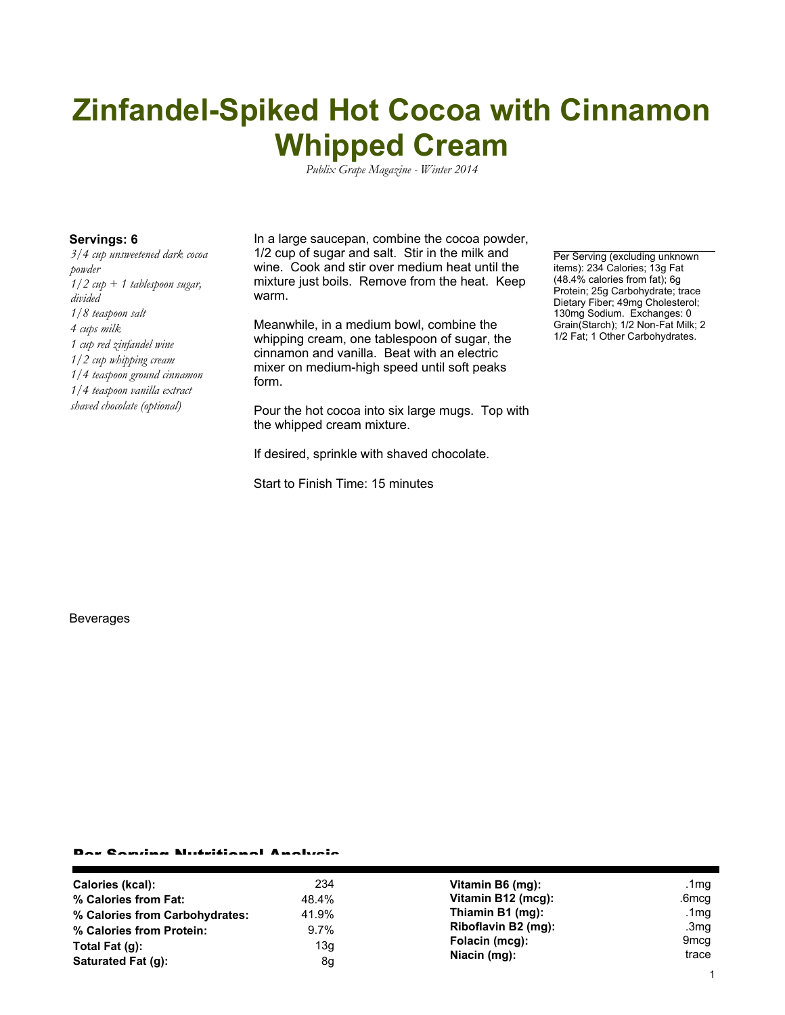## **Zinfandel-Spiked Hot Cocoa with Cinnamon Whipped Cream**

*Publix Grape Magazine - Winter 2014*

*3/4 cup unsweetened dark cocoa powder 1/2 cup + 1 tablespoon sugar, divided 1/8 teaspoon salt 4 cups milk 1 cup red zinfandel wine 1/2 cup whipping cream 1/4 teaspoon ground cinnamon 1/4 teaspoon vanilla extract shaved chocolate (optional)*

**Servings: 6** In a large saucepan, combine the cocoa powder, 1/2 cup of sugar and salt. Stir in the milk and wine. Cook and stir over medium heat until the mixture just boils. Remove from the heat. Keep warm.

> Meanwhile, in a medium bowl, combine the whipping cream, one tablespoon of sugar, the cinnamon and vanilla. Beat with an electric mixer on medium-high speed until soft peaks form.

Pour the hot cocoa into six large mugs. Top with the whipped cream mixture.

If desired, sprinkle with shaved chocolate.

Start to Finish Time: 15 minutes

Per Serving (excluding unknown items): 234 Calories; 13g Fat (48.4% calories from fat); 6g Protein; 25g Carbohydrate; trace Dietary Fiber; 49mg Cholesterol; 130mg Sodium. Exchanges: 0 Grain(Starch); 1/2 Non-Fat Milk; 2 1/2 Fat; 1 Other Carbohydrates.

Beverages

## Per Serving Nutritional Analysis

| Calories (kcal):               | 234     | Vitamin B6 (mg):                                      | .1 $mg$          |
|--------------------------------|---------|-------------------------------------------------------|------------------|
| % Calories from Fat:           | 48.4%   | Vitamin B12 (mcg):                                    | .6mcg            |
| % Calories from Carbohydrates: | 41.9%   | Thiamin B1 (mg):                                      | .1mq             |
| % Calories from Protein:       | $9.7\%$ | Riboflavin B2 (mg):<br>Folacin (mcg):<br>Niacin (mg): | .3 $mg$          |
| Total Fat $(q)$ :              | 13g     |                                                       | 9 <sub>mcg</sub> |
| Saturated Fat (g):             | 8g      |                                                       | trace            |